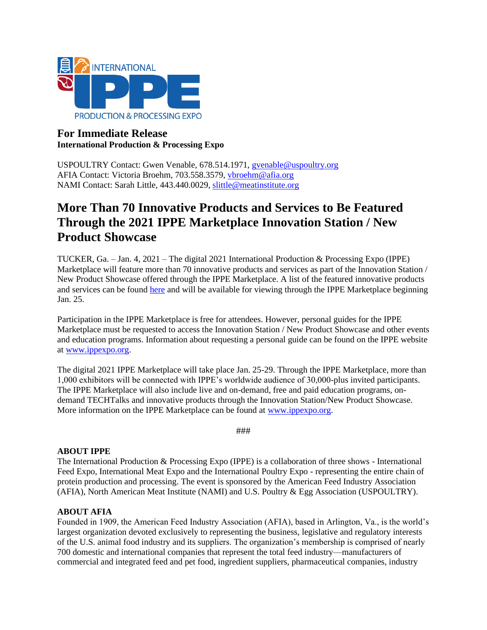

## **For Immediate Release International Production & Processing Expo**

USPOULTRY Contact: Gwen Venable, 678.514.1971, [gvenable@uspoultry.org](mailto:gvenable@uspoultry.org)  AFIA Contact: Victoria Broehm, 703.558.3579, [vbroehm@afia.org](mailto:ldotterweich@afia.org)  NAMI Contact: Sarah Little, 443.440.0029, [slittle@meatinstitute.org](mailto:slittle@meatinstitute.org)

# **More Than 70 Innovative Products and Services to Be Featured Through the 2021 IPPE Marketplace Innovation Station / New Product Showcase**

TUCKER, Ga. – Jan. 4, 2021 – The digital 2021 International Production & Processing Expo (IPPE) Marketplace will feature more than 70 innovative products and services as part of the Innovation Station / New Product Showcase offered through the IPPE Marketplace. A list of the featured innovative products and services can be found [here](https://www.ippexpo.org/marketplace/innovation-station/) and will be available for viewing through the IPPE Marketplace beginning Jan. 25.

Participation in the IPPE Marketplace is free for attendees. However, personal guides for the IPPE Marketplace must be requested to access the Innovation Station / New Product Showcase and other events and education programs. Information about requesting a personal guide can be found on the IPPE website a[t www.ippexpo.org.](http://www.ippexpo.org/)

The digital 2021 IPPE Marketplace will take place Jan. 25-29. Through the IPPE Marketplace, more than 1,000 exhibitors will be connected with IPPE's worldwide audience of 30,000-plus invited participants. The IPPE Marketplace will also include live and on-demand, free and paid education programs, ondemand TECHTalks and innovative products through the Innovation Station/New Product Showcase. More information on the IPPE Marketplace can be found at [www.ippexpo.org.](http://www.ippexpo.org/)

###

### **ABOUT IPPE**

The International Production & Processing Expo (IPPE) is a collaboration of three shows - International Feed Expo, International Meat Expo and the International Poultry Expo - representing the entire chain of protein production and processing. The event is sponsored by the American Feed Industry Association (AFIA), North American Meat Institute (NAMI) and U.S. Poultry & Egg Association (USPOULTRY).

### **ABOUT AFIA**

Founded in 1909, the American Feed Industry Association (AFIA), based in Arlington, Va., is the world's largest organization devoted exclusively to representing the business, legislative and regulatory interests of the U.S. animal food industry and its suppliers. The organization's membership is comprised of nearly 700 domestic and international companies that represent the total feed industry—manufacturers of commercial and integrated feed and pet food, ingredient suppliers, pharmaceutical companies, industry